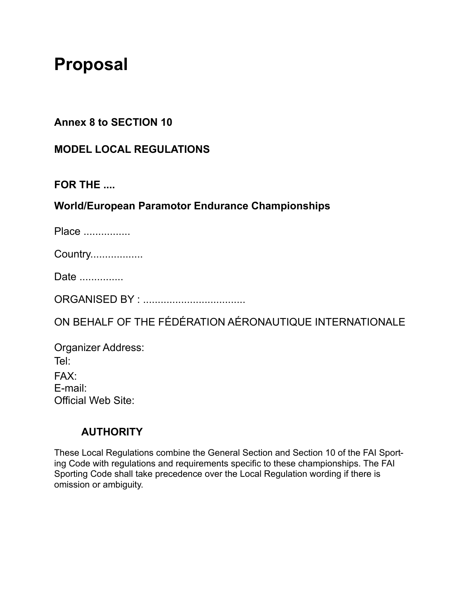# **Proposal**

#### **Annex 8 to SECTION 10**

#### **MODEL LOCAL REGULATIONS**

#### **FOR THE ....**

#### **World/European Paramotor Endurance Championships**

Place .................

Country..................

Date ...............

ORGANISED BY : ...................................

ON BEHALF OF THE FÉDÉRATION AÉRONAUTIQUE INTERNATIONALE

Organizer Address: Tel: FAX: E-mail: Official Web Site:

#### **AUTHORITY**

These Local Regulations combine the General Section and Section 10 of the FAI Sporting Code with regulations and requirements specific to these championships. The FAI Sporting Code shall take precedence over the Local Regulation wording if there is omission or ambiguity.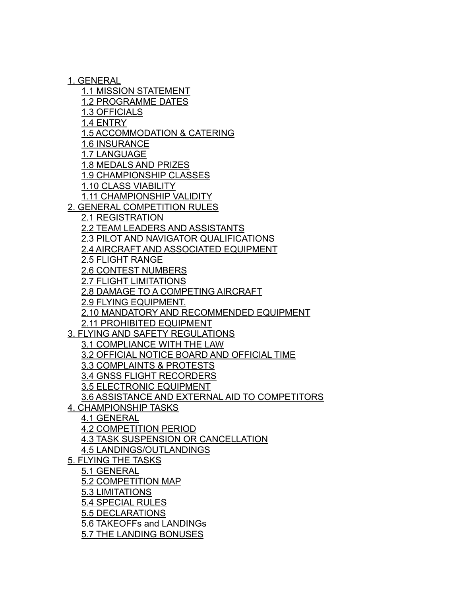1. GENERAL

1.1 MISSION STATEMENT

1.2 PROGRAMME DATES

1.3 OFFICIALS

1.4 ENTRY

1.5 ACCOMMODATION & CATERING

1.6 INSURANCE

1.7 LANGUAGE

1.8 MEDALS AND PRIZES

1.9 CHAMPIONSHIP CLASSES

1.10 CLASS VIABILITY

1.11 CHAMPIONSHIP VALIDITY

2. GENERAL COMPETITION RULES

2.1 REGISTRATION

2.2 TEAM LEADERS AND ASSISTANTS

2.3 PILOT AND NAVIGATOR QUALIFICATIONS

2.4 AIRCRAFT AND ASSOCIATED EQUIPMENT

2.5 FLIGHT RANGE

2.6 CONTEST NUMBERS

2.7 FLIGHT LIMITATIONS

2.8 DAMAGE TO A COMPETING AIRCRAFT

2.9 FLYING EQUIPMENT.

2.10 MANDATORY AND RECOMMENDED EQUIPMENT

2.11 PROHIBITED EQUIPMENT

3. FLYING AND SAFETY REGULATIONS

3.1 COMPLIANCE WITH THE LAW

3.2 OFFICIAL NOTICE BOARD AND OFFICIAL TIME

3.3 COMPLAINTS & PROTESTS

3.4 GNSS FLIGHT RECORDERS

3.5 ELECTRONIC EQUIPMENT

3.6 ASSISTANCE AND EXTERNAL AID TO COMPETITORS

4. CHAMPIONSHIP TASKS

4.1 GENERAL

4.2 COMPETITION PERIOD

4.3 TASK SUSPENSION OR CANCELLATION

4.5 LANDINGS/OUTLANDINGS

5. FLYING THE TASKS

5.1 GENERAL

5.2 COMPETITION MAP

5.3 LIMITATIONS

5.4 SPECIAL RULES

5.5 DECLARATIONS

5.6 TAKEOFFs and LANDINGs

5.7 THE LANDING BONUSES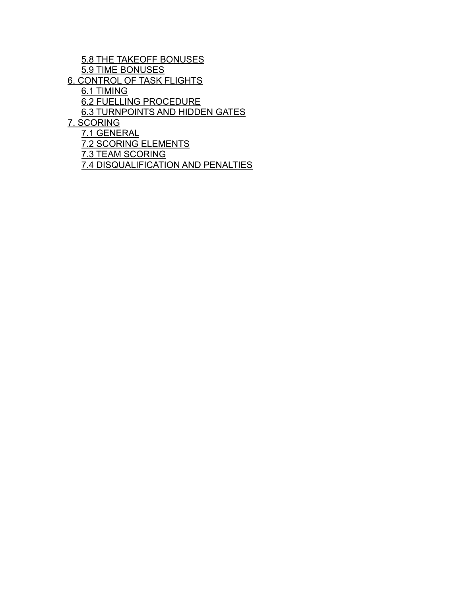5.8 THE TAKEOFF BONUSES 5.9 TIME BONUSES 6. CONTROL OF TASK FLIGHTS 6.1 TIMING 6.2 FUELLING PROCEDURE 6.3 TURNPOINTS AND HIDDEN GATES 7. SCORING 7.1 GENERAL 7.2 SCORING ELEMENTS 7.3 TEAM SCORING

7.4 DISQUALIFICATION AND PENALTIES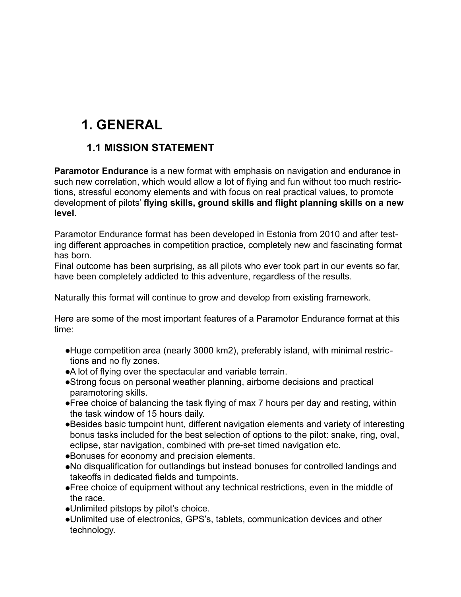# **1. GENERAL**

#### **1.1 MISSION STATEMENT**

**Paramotor Endurance** is a new format with emphasis on navigation and endurance in such new correlation, which would allow a lot of flying and fun without too much restrictions, stressful economy elements and with focus on real practical values, to promote development of pilots' **flying skills, ground skills and flight planning skills on a new level**.

Paramotor Endurance format has been developed in Estonia from 2010 and after testing different approaches in competition practice, completely new and fascinating format has born.

Final outcome has been surprising, as all pilots who ever took part in our events so far, have been completely addicted to this adventure, regardless of the results.

Naturally this format will continue to grow and develop from existing framework.

Here are some of the most important features of a Paramotor Endurance format at this time:

- ●Huge competition area (nearly 3000 km2), preferably island, with minimal restrictions and no fly zones.
- ●A lot of flying over the spectacular and variable terrain.
- ●Strong focus on personal weather planning, airborne decisions and practical paramotoring skills.
- ●Free choice of balancing the task flying of max 7 hours per day and resting, within the task window of 15 hours daily.
- ●Besides basic turnpoint hunt, different navigation elements and variety of interesting bonus tasks included for the best selection of options to the pilot: snake, ring, oval, eclipse, star navigation, combined with pre-set timed navigation etc.
- ●Bonuses for economy and precision elements.
- ●No disqualification for outlandings but instead bonuses for controlled landings and takeoffs in dedicated fields and turnpoints.
- ●Free choice of equipment without any technical restrictions, even in the middle of the race.
- ●Unlimited pitstops by pilot's choice.
- ●Unlimited use of electronics, GPS's, tablets, communication devices and other technology.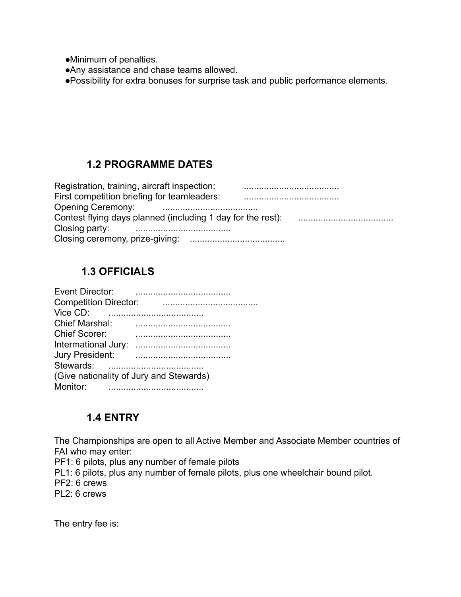●Minimum of penalties.

●Any assistance and chase teams allowed.

●Possibility for extra bonuses for surprise task and public performance elements.

#### **1.2 PROGRAMME DATES**

| Registration, training, aircraft inspection:                                                                                                                                                                                         |  |
|--------------------------------------------------------------------------------------------------------------------------------------------------------------------------------------------------------------------------------------|--|
| First competition briefing for teamleaders:                                                                                                                                                                                          |  |
| Opening Ceremony: <b>Constant Contract Constant Constant Constant Constant Constant Constant Constant Constant Constant Constant Constant Constant Constant Constant Constant Constant Constant Constant Constant Constant Const</b> |  |
|                                                                                                                                                                                                                                      |  |
| Closing party:                                                                                                                                                                                                                       |  |
|                                                                                                                                                                                                                                      |  |

#### **1.3 OFFICIALS**

| Event Director:                         |  |
|-----------------------------------------|--|
| <b>Competition Director:</b>            |  |
| Vice CD:                                |  |
| <b>Chief Marshal:</b>                   |  |
| <b>Chief Scorer:</b>                    |  |
| Intermational Jury:                     |  |
| Jury President:                         |  |
| Stewards:                               |  |
| (Give nationality of Jury and Stewards) |  |
| Monitor:                                |  |

#### **1.4 ENTRY**

The Championships are open to all Active Member and Associate Member countries of FAI who may enter:

PF1: 6 pilots, plus any number of female pilots

PL1: 6 pilots, plus any number of female pilots, plus one wheelchair bound pilot.

PF2: 6 crews

PL2: 6 crews

The entry fee is: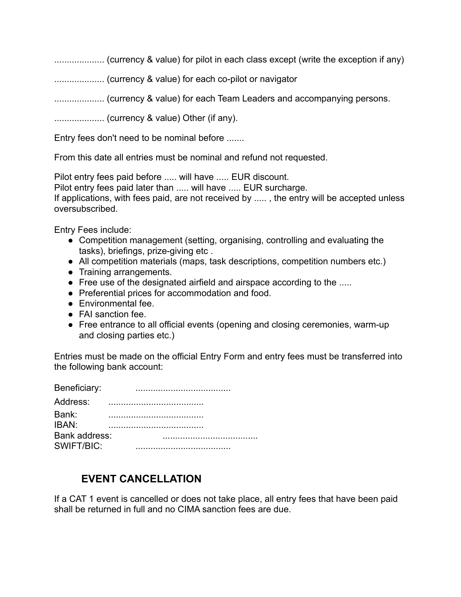.................... (currency & value) for pilot in each class except (write the exception if any) .................... (currency & value) for each co-pilot or navigator .................... (currency & value) for each Team Leaders and accompanying persons. .................... (currency & value) Other (if any).

Entry fees don't need to be nominal before .......

From this date all entries must be nominal and refund not requested.

Pilot entry fees paid before ..... will have ..... EUR discount.

Pilot entry fees paid later than ..... will have ..... EUR surcharge.

If applications, with fees paid, are not received by ..... , the entry will be accepted unless oversubscribed.

Entry Fees include:

- Competition management (setting, organising, controlling and evaluating the tasks), briefings, prize-giving etc .
- All competition materials (maps, task descriptions, competition numbers etc.)
- Training arrangements.
- Free use of the designated airfield and airspace according to the .....
- Preferential prices for accommodation and food.
- Environmental fee.
- FAI sanction fee.
- Free entrance to all official events (opening and closing ceremonies, warm-up and closing parties etc.)

Entries must be made on the official Entry Form and entry fees must be transferred into the following bank account:

| Beneficiary:  |  |
|---------------|--|
| Address:      |  |
| Bank:         |  |
| IBAN:         |  |
| Bank address: |  |
| SWIFT/BIC:    |  |

#### **EVENT CANCELLATION**

If a CAT 1 event is cancelled or does not take place, all entry fees that have been paid shall be returned in full and no CIMA sanction fees are due.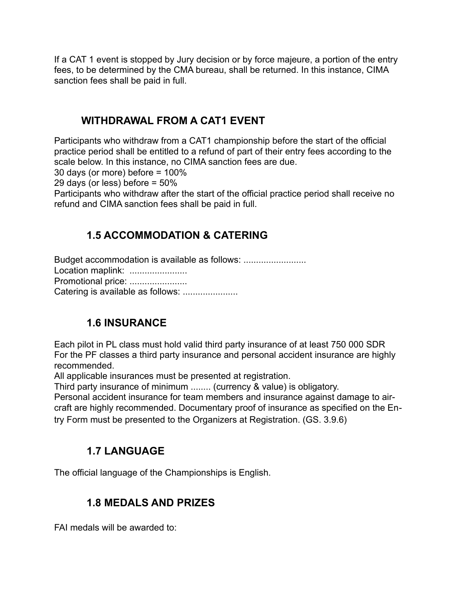If a CAT 1 event is stopped by Jury decision or by force majeure, a portion of the entry fees, to be determined by the CMA bureau, shall be returned. In this instance, CIMA sanction fees shall be paid in full.

#### **WITHDRAWAL FROM A CAT1 EVENT**

Participants who withdraw from a CAT1 championship before the start of the official practice period shall be entitled to a refund of part of their entry fees according to the scale below. In this instance, no CIMA sanction fees are due.

30 days (or more) before = 100%

29 days (or less) before = 50%

Participants who withdraw after the start of the official practice period shall receive no refund and CIMA sanction fees shall be paid in full.

### **1.5 ACCOMMODATION & CATERING**

Budget accommodation is available as follows: .................................. Location maplink: ....................... Promotional price: ........................ Catering is available as follows: ......................

### **1.6 INSURANCE**

Each pilot in PL class must hold valid third party insurance of at least 750 000 SDR For the PF classes a third party insurance and personal accident insurance are highly recommended.

All applicable insurances must be presented at registration.

Third party insurance of minimum ........ (currency & value) is obligatory.

Personal accident insurance for team members and insurance against damage to aircraft are highly recommended. Documentary proof of insurance as specified on the Entry Form must be presented to the Organizers at Registration. (GS. 3.9.6)

### **1.7 LANGUAGE**

The official language of the Championships is English.

#### **1.8 MEDALS AND PRIZES**

FAI medals will be awarded to: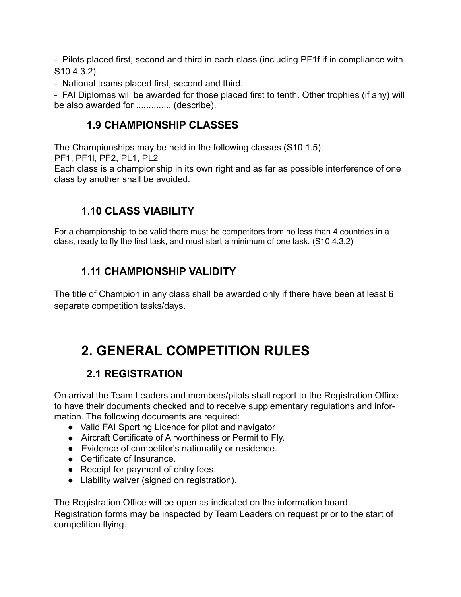- Pilots placed first, second and third in each class (including PF1f if in compliance with S10 4.3.2).

- National teams placed first, second and third.

- FAI Diplomas will be awarded for those placed first to tenth. Other trophies (if any) will be also awarded for .............. (describe).

#### **1.9 CHAMPIONSHIP CLASSES**

The Championships may be held in the following classes (S10 1.5):

PF1, PF1l, PF2, PL1, PL2

Each class is a championship in its own right and as far as possible interference of one class by another shall be avoided.

#### **1.10 CLASS VIABILITY**

For a championship to be valid there must be competitors from no less than 4 countries in a class, ready to fly the first task, and must start a minimum of one task. (S10 4.3.2)

#### **1.11 CHAMPIONSHIP VALIDITY**

The title of Champion in any class shall be awarded only if there have been at least 6 separate competition tasks/days.

# **2. GENERAL COMPETITION RULES**

### **2.1 REGISTRATION**

On arrival the Team Leaders and members/pilots shall report to the Registration Office to have their documents checked and to receive supplementary regulations and information. The following documents are required:

- Valid FAI Sporting Licence for pilot and navigator
- Aircraft Certificate of Airworthiness or Permit to Fly.
- Evidence of competitor's nationality or residence.
- Certificate of Insurance.
- Receipt for payment of entry fees.
- Liability waiver (signed on registration).

The Registration Office will be open as indicated on the information board. Registration forms may be inspected by Team Leaders on request prior to the start of competition flying.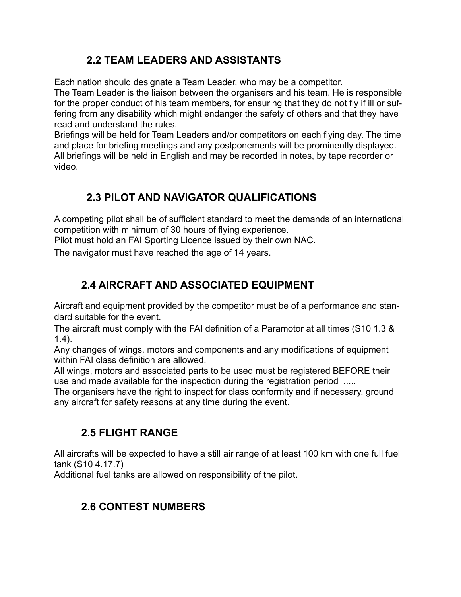#### **2.2 TEAM LEADERS AND ASSISTANTS**

Each nation should designate a Team Leader, who may be a competitor.

The Team Leader is the liaison between the organisers and his team. He is responsible for the proper conduct of his team members, for ensuring that they do not fly if ill or suffering from any disability which might endanger the safety of others and that they have read and understand the rules.

Briefings will be held for Team Leaders and/or competitors on each flying day. The time and place for briefing meetings and any postponements will be prominently displayed. All briefings will be held in English and may be recorded in notes, by tape recorder or video.

### **2.3 PILOT AND NAVIGATOR QUALIFICATIONS**

A competing pilot shall be of sufficient standard to meet the demands of an international competition with minimum of 30 hours of flying experience.

Pilot must hold an FAI Sporting Licence issued by their own NAC.

The navigator must have reached the age of 14 years.

# **2.4 AIRCRAFT AND ASSOCIATED EQUIPMENT**

Aircraft and equipment provided by the competitor must be of a performance and standard suitable for the event.

The aircraft must comply with the FAI definition of a Paramotor at all times (S10 1.3 & 1.4).

Any changes of wings, motors and components and any modifications of equipment within FAI class definition are allowed.

All wings, motors and associated parts to be used must be registered BEFORE their use and made available for the inspection during the registration period .....

The organisers have the right to inspect for class conformity and if necessary, ground any aircraft for safety reasons at any time during the event.

### **2.5 FLIGHT RANGE**

All aircrafts will be expected to have a still air range of at least 100 km with one full fuel tank (S10 4.17.7)

Additional fuel tanks are allowed on responsibility of the pilot.

# **2.6 CONTEST NUMBERS**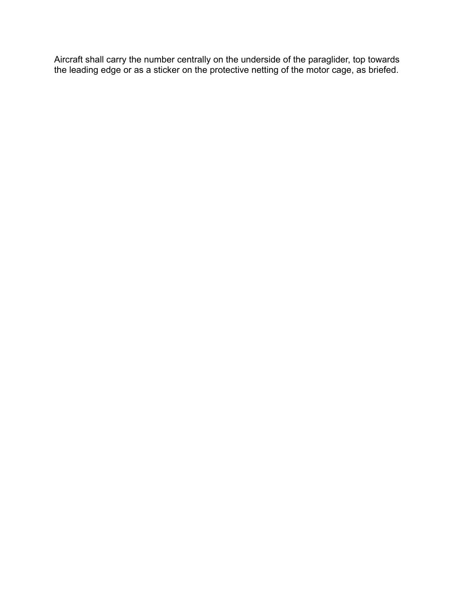Aircraft shall carry the number centrally on the underside of the paraglider, top towards the leading edge or as a sticker on the protective netting of the motor cage, as briefed.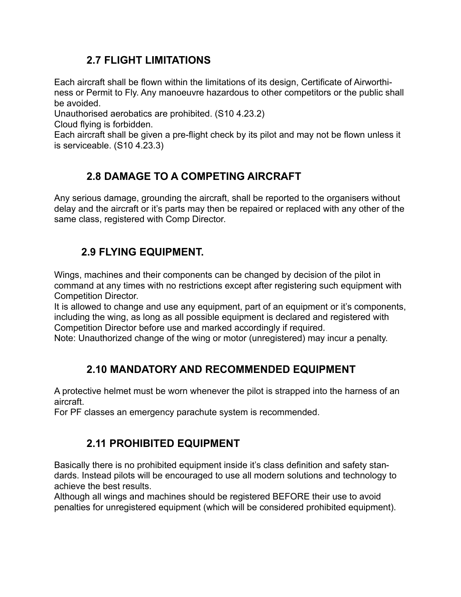#### **2.7 FLIGHT LIMITATIONS**

Each aircraft shall be flown within the limitations of its design, Certificate of Airworthiness or Permit to Fly. Any manoeuvre hazardous to other competitors or the public shall be avoided.

Unauthorised aerobatics are prohibited. (S10 4.23.2)

Cloud flying is forbidden.

Each aircraft shall be given a pre-flight check by its pilot and may not be flown unless it is serviceable. (S10 4.23.3)

#### **2.8 DAMAGE TO A COMPETING AIRCRAFT**

Any serious damage, grounding the aircraft, shall be reported to the organisers without delay and the aircraft or it's parts may then be repaired or replaced with any other of the same class, registered with Comp Director.

#### **2.9 FLYING EQUIPMENT.**

Wings, machines and their components can be changed by decision of the pilot in command at any times with no restrictions except after registering such equipment with Competition Director.

It is allowed to change and use any equipment, part of an equipment or it's components, including the wing, as long as all possible equipment is declared and registered with Competition Director before use and marked accordingly if required.

Note: Unauthorized change of the wing or motor (unregistered) may incur a penalty.

### **2.10 MANDATORY AND RECOMMENDED EQUIPMENT**

A protective helmet must be worn whenever the pilot is strapped into the harness of an aircraft.

For PF classes an emergency parachute system is recommended.

### **2.11 PROHIBITED EQUIPMENT**

Basically there is no prohibited equipment inside it's class definition and safety standards. Instead pilots will be encouraged to use all modern solutions and technology to achieve the best results.

Although all wings and machines should be registered BEFORE their use to avoid penalties for unregistered equipment (which will be considered prohibited equipment).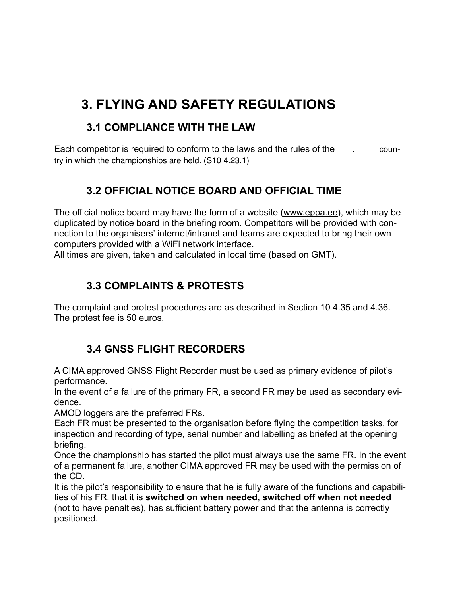# **3. FLYING AND SAFETY REGULATIONS**

#### **3.1 COMPLIANCE WITH THE LAW**

Each competitor is required to conform to the laws and the rules of the . country in which the championships are held. (S10 4.23.1)

#### **3.2 OFFICIAL NOTICE BOARD AND OFFICIAL TIME**

The official notice board may have the form of a website ([www.eppa.ee\)](http://www.eppa.ee/), which may be duplicated by notice board in the briefing room. Competitors will be provided with connection to the organisers' internet/intranet and teams are expected to bring their own computers provided with a WiFi network interface.

All times are given, taken and calculated in local time (based on GMT).

#### **3.3 COMPLAINTS & PROTESTS**

The complaint and protest procedures are as described in Section 10 4.35 and 4.36. The protest fee is 50 euros.

### **3.4 GNSS FLIGHT RECORDERS**

A CIMA approved GNSS Flight Recorder must be used as primary evidence of pilot's performance.

In the event of a failure of the primary FR, a second FR may be used as secondary evidence.

AMOD loggers are the preferred FRs.

Each FR must be presented to the organisation before flying the competition tasks, for inspection and recording of type, serial number and labelling as briefed at the opening briefing.

Once the championship has started the pilot must always use the same FR. In the event of a permanent failure, another CIMA approved FR may be used with the permission of the CD.

It is the pilot's responsibility to ensure that he is fully aware of the functions and capabilities of his FR, that it is **switched on when needed, switched off when not needed** (not to have penalties), has sufficient battery power and that the antenna is correctly positioned.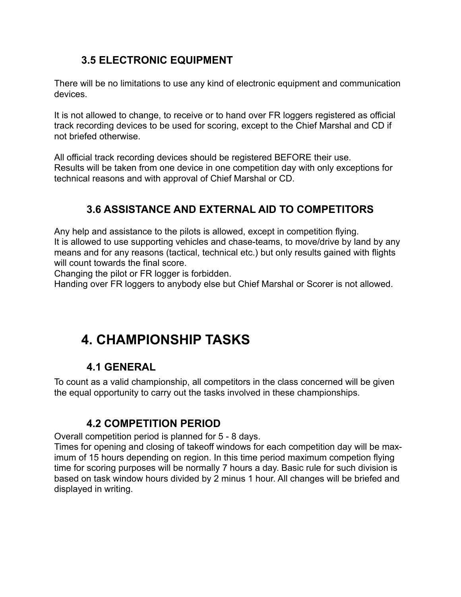#### **3.5 ELECTRONIC EQUIPMENT**

There will be no limitations to use any kind of electronic equipment and communication devices.

It is not allowed to change, to receive or to hand over FR loggers registered as official track recording devices to be used for scoring, except to the Chief Marshal and CD if not briefed otherwise.

All official track recording devices should be registered BEFORE their use. Results will be taken from one device in one competition day with only exceptions for technical reasons and with approval of Chief Marshal or CD.

### **3.6 ASSISTANCE AND EXTERNAL AID TO COMPETITORS**

Any help and assistance to the pilots is allowed, except in competition flying. It is allowed to use supporting vehicles and chase-teams, to move/drive by land by any means and for any reasons (tactical, technical etc.) but only results gained with flights will count towards the final score.

Changing the pilot or FR logger is forbidden.

Handing over FR loggers to anybody else but Chief Marshal or Scorer is not allowed.

# **4. CHAMPIONSHIP TASKS**

#### **4.1 GENERAL**

To count as a valid championship, all competitors in the class concerned will be given the equal opportunity to carry out the tasks involved in these championships.

#### **4.2 COMPETITION PERIOD**

Overall competition period is planned for 5 - 8 days.

Times for opening and closing of takeoff windows for each competition day will be maximum of 15 hours depending on region. In this time period maximum competion flying time for scoring purposes will be normally 7 hours a day. Basic rule for such division is based on task window hours divided by 2 minus 1 hour. All changes will be briefed and displayed in writing.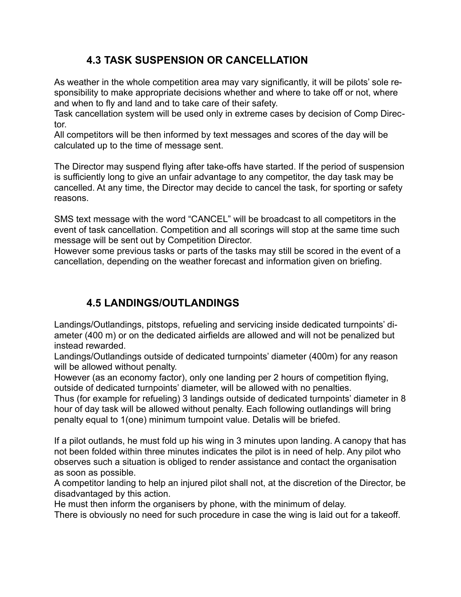#### **4.3 TASK SUSPENSION OR CANCELLATION**

As weather in the whole competition area may vary significantly, it will be pilots' sole responsibility to make appropriate decisions whether and where to take off or not, where and when to fly and land and to take care of their safety.

Task cancellation system will be used only in extreme cases by decision of Comp Director.

All competitors will be then informed by text messages and scores of the day will be calculated up to the time of message sent.

The Director may suspend flying after take-offs have started. If the period of suspension is sufficiently long to give an unfair advantage to any competitor, the day task may be cancelled. At any time, the Director may decide to cancel the task, for sporting or safety reasons.

SMS text message with the word "CANCEL" will be broadcast to all competitors in the event of task cancellation. Competition and all scorings will stop at the same time such message will be sent out by Competition Director.

However some previous tasks or parts of the tasks may still be scored in the event of a cancellation, depending on the weather forecast and information given on briefing.

#### **4.5 LANDINGS/OUTLANDINGS**

Landings/Outlandings, pitstops, refueling and servicing inside dedicated turnpoints' diameter (400 m) or on the dedicated airfields are allowed and will not be penalized but instead rewarded.

Landings/Outlandings outside of dedicated turnpoints' diameter (400m) for any reason will be allowed without penalty.

However (as an economy factor), only one landing per 2 hours of competition flying, outside of dedicated turnpoints' diameter, will be allowed with no penalties.

Thus (for example for refueling) 3 landings outside of dedicated turnpoints' diameter in 8 hour of day task will be allowed without penalty. Each following outlandings will bring penalty equal to 1(one) minimum turnpoint value. Detalis will be briefed.

If a pilot outlands, he must fold up his wing in 3 minutes upon landing. A canopy that has not been folded within three minutes indicates the pilot is in need of help. Any pilot who observes such a situation is obliged to render assistance and contact the organisation as soon as possible.

A competitor landing to help an injured pilot shall not, at the discretion of the Director, be disadvantaged by this action.

He must then inform the organisers by phone, with the minimum of delay.

There is obviously no need for such procedure in case the wing is laid out for a takeoff.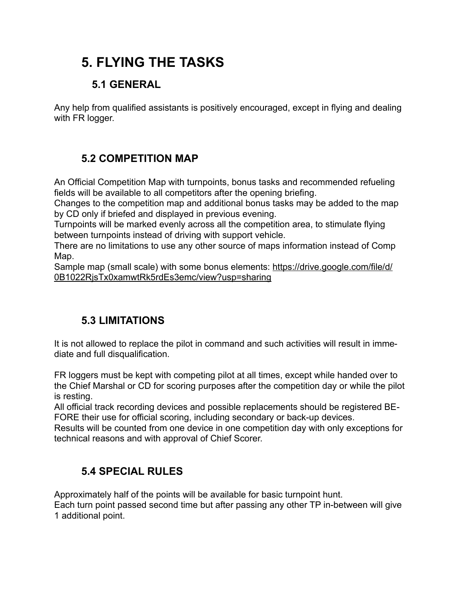# **5. FLYING THE TASKS**

# **5.1 GENERAL**

Any help from qualified assistants is positively encouraged, except in flying and dealing with FR logger.

# **5.2 COMPETITION MAP**

An Official Competition Map with turnpoints, bonus tasks and recommended refueling fields will be available to all competitors after the opening briefing.

Changes to the competition map and additional bonus tasks may be added to the map by CD only if briefed and displayed in previous evening.

Turnpoints will be marked evenly across all the competition area, to stimulate flying between turnpoints instead of driving with support vehicle.

There are no limitations to use any other source of maps information instead of Comp Map.

[Sample map \(small scale\) with some bonus elements: https://drive.google.com/file/d/](https://drive.google.com/file/d/0B1022RjsTx0xamwtRk5rdEs3emc/view?usp=sharing) 0B1022RjsTx0xamwtRk5rdEs3emc/view?usp=sharing

# **5.3 LIMITATIONS**

It is not allowed to replace the pilot in command and such activities will result in immediate and full disqualification.

FR loggers must be kept with competing pilot at all times, except while handed over to the Chief Marshal or CD for scoring purposes after the competition day or while the pilot is resting.

All official track recording devices and possible replacements should be registered BE-FORE their use for official scoring, including secondary or back-up devices.

Results will be counted from one device in one competition day with only exceptions for technical reasons and with approval of Chief Scorer.

# **5.4 SPECIAL RULES**

Approximately half of the points will be available for basic turnpoint hunt.

Each turn point passed second time but after passing any other TP in-between will give 1 additional point.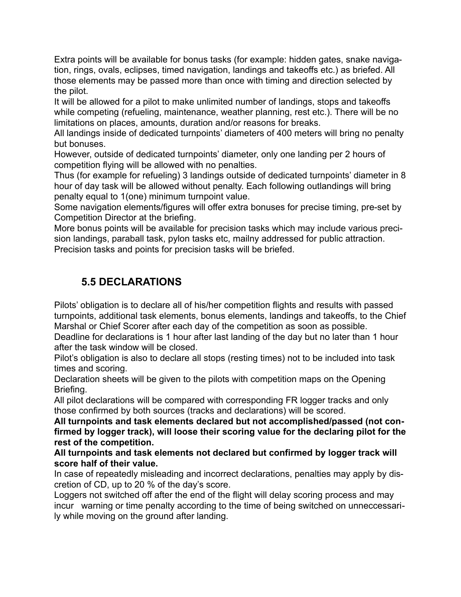Extra points will be available for bonus tasks (for example: hidden gates, snake navigation, rings, ovals, eclipses, timed navigation, landings and takeoffs etc.) as briefed. All those elements may be passed more than once with timing and direction selected by the pilot.

It will be allowed for a pilot to make unlimited number of landings, stops and takeoffs while competing (refueling, maintenance, weather planning, rest etc.). There will be no limitations on places, amounts, duration and/or reasons for breaks.

All landings inside of dedicated turnpoints' diameters of 400 meters will bring no penalty but bonuses.

However, outside of dedicated turnpoints' diameter, only one landing per 2 hours of competition flying will be allowed with no penalties.

Thus (for example for refueling) 3 landings outside of dedicated turnpoints' diameter in 8 hour of day task will be allowed without penalty. Each following outlandings will bring penalty equal to 1(one) minimum turnpoint value.

Some navigation elements/figures will offer extra bonuses for precise timing, pre-set by Competition Director at the briefing.

More bonus points will be available for precision tasks which may include various precision landings, paraball task, pylon tasks etc, mailny addressed for public attraction. Precision tasks and points for precision tasks will be briefed.

#### **5.5 DECLARATIONS**

Pilots' obligation is to declare all of his/her competition flights and results with passed turnpoints, additional task elements, bonus elements, landings and takeoffs, to the Chief Marshal or Chief Scorer after each day of the competition as soon as possible.

Deadline for declarations is 1 hour after last landing of the day but no later than 1 hour after the task window will be closed.

Pilot's obligation is also to declare all stops (resting times) not to be included into task times and scoring.

Declaration sheets will be given to the pilots with competition maps on the Opening Briefing.

All pilot declarations will be compared with corresponding FR logger tracks and only those confirmed by both sources (tracks and declarations) will be scored.

**All turnpoints and task elements declared but not accomplished/passed (not confirmed by logger track), will loose their scoring value for the declaring pilot for the rest of the competition.**

**All turnpoints and task elements not declared but confirmed by logger track will score half of their value.**

In case of repeatedly misleading and incorrect declarations, penalties may apply by discretion of CD, up to 20 % of the day's score.

Loggers not switched off after the end of the flight will delay scoring process and may incur warning or time penalty according to the time of being switched on unneccessarily while moving on the ground after landing.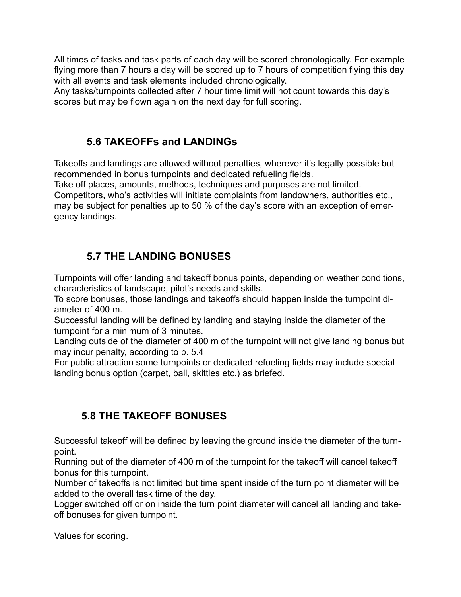All times of tasks and task parts of each day will be scored chronologically. For example flying more than 7 hours a day will be scored up to 7 hours of competition flying this day with all events and task elements included chronologically.

Any tasks/turnpoints collected after 7 hour time limit will not count towards this day's scores but may be flown again on the next day for full scoring.

#### **5.6 TAKEOFFs and LANDINGs**

Takeoffs and landings are allowed without penalties, wherever it's legally possible but recommended in bonus turnpoints and dedicated refueling fields.

Take off places, amounts, methods, techniques and purposes are not limited. Competitors, who's activities will initiate complaints from landowners, authorities etc., may be subject for penalties up to 50 % of the day's score with an exception of emergency landings.

### **5.7 THE LANDING BONUSES**

Turnpoints will offer landing and takeoff bonus points, depending on weather conditions, characteristics of landscape, pilot's needs and skills.

To score bonuses, those landings and takeoffs should happen inside the turnpoint diameter of 400 m.

Successful landing will be defined by landing and staying inside the diameter of the turnpoint for a minimum of 3 minutes.

Landing outside of the diameter of 400 m of the turnpoint will not give landing bonus but may incur penalty, according to p. 5.4

For public attraction some turnpoints or dedicated refueling fields may include special landing bonus option (carpet, ball, skittles etc.) as briefed.

# **5.8 THE TAKEOFF BONUSES**

Successful takeoff will be defined by leaving the ground inside the diameter of the turnpoint.

Running out of the diameter of 400 m of the turnpoint for the takeoff will cancel takeoff bonus for this turnpoint.

Number of takeoffs is not limited but time spent inside of the turn point diameter will be added to the overall task time of the day.

Logger switched off or on inside the turn point diameter will cancel all landing and takeoff bonuses for given turnpoint.

Values for scoring.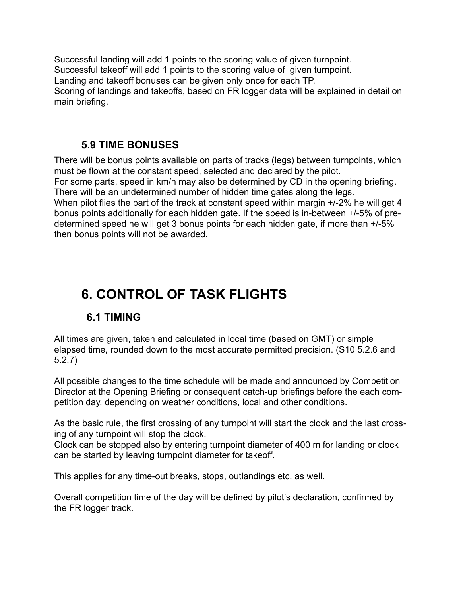Successful landing will add 1 points to the scoring value of given turnpoint. Successful takeoff will add 1 points to the scoring value of given turnpoint. Landing and takeoff bonuses can be given only once for each TP. Scoring of landings and takeoffs, based on FR logger data will be explained in detail on main briefing.

#### **5.9 TIME BONUSES**

There will be bonus points available on parts of tracks (legs) between turnpoints, which must be flown at the constant speed, selected and declared by the pilot. For some parts, speed in km/h may also be determined by CD in the opening briefing. There will be an undetermined number of hidden time gates along the legs. When pilot flies the part of the track at constant speed within margin  $+/-2\%$  he will get 4 bonus points additionally for each hidden gate. If the speed is in-between +/-5% of predetermined speed he will get 3 bonus points for each hidden gate, if more than +/-5% then bonus points will not be awarded.

# **6. CONTROL OF TASK FLIGHTS**

#### **6.1 TIMING**

All times are given, taken and calculated in local time (based on GMT) or simple elapsed time, rounded down to the most accurate permitted precision. (S10 5.2.6 and 5.2.7)

All possible changes to the time schedule will be made and announced by Competition Director at the Opening Briefing or consequent catch-up briefings before the each competition day, depending on weather conditions, local and other conditions.

As the basic rule, the first crossing of any turnpoint will start the clock and the last crossing of any turnpoint will stop the clock.

Clock can be stopped also by entering turnpoint diameter of 400 m for landing or clock can be started by leaving turnpoint diameter for takeoff.

This applies for any time-out breaks, stops, outlandings etc. as well.

Overall competition time of the day will be defined by pilot's declaration, confirmed by the FR logger track.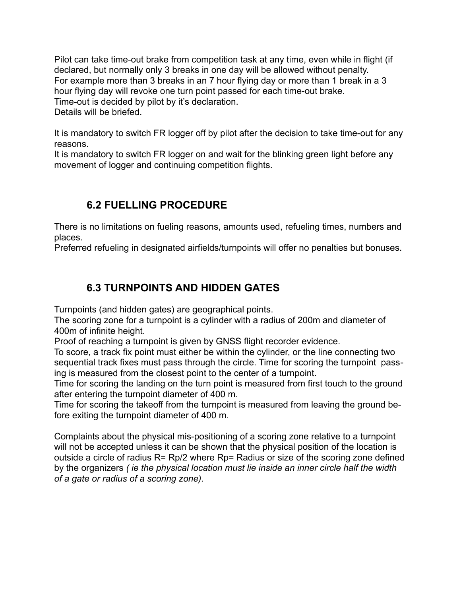Pilot can take time-out brake from competition task at any time, even while in flight (if declared, but normally only 3 breaks in one day will be allowed without penalty. For example more than 3 breaks in an 7 hour flying day or more than 1 break in a 3 hour flying day will revoke one turn point passed for each time-out brake. Time-out is decided by pilot by it's declaration. Details will be briefed.

It is mandatory to switch FR logger off by pilot after the decision to take time-out for any reasons.

It is mandatory to switch FR logger on and wait for the blinking green light before any movement of logger and continuing competition flights.

#### **6.2 FUELLING PROCEDURE**

There is no limitations on fueling reasons, amounts used, refueling times, numbers and places.

Preferred refueling in designated airfields/turnpoints will offer no penalties but bonuses.

### **6.3 TURNPOINTS AND HIDDEN GATES**

Turnpoints (and hidden gates) are geographical points.

The scoring zone for a turnpoint is a cylinder with a radius of 200m and diameter of 400m of infinite height.

Proof of reaching a turnpoint is given by GNSS flight recorder evidence.

To score, a track fix point must either be within the cylinder, or the line connecting two sequential track fixes must pass through the circle. Time for scoring the turnpoint passing is measured from the closest point to the center of a turnpoint.

Time for scoring the landing on the turn point is measured from first touch to the ground after entering the turnpoint diameter of 400 m.

Time for scoring the takeoff from the turnpoint is measured from leaving the ground before exiting the turnpoint diameter of 400 m.

Complaints about the physical mis-positioning of a scoring zone relative to a turnpoint will not be accepted unless it can be shown that the physical position of the location is outside a circle of radius R= Rp/2 where Rp= Radius or size of the scoring zone defined by the organizers *( ie the physical location must lie inside an inner circle half the width of a gate or radius of a scoring zone).*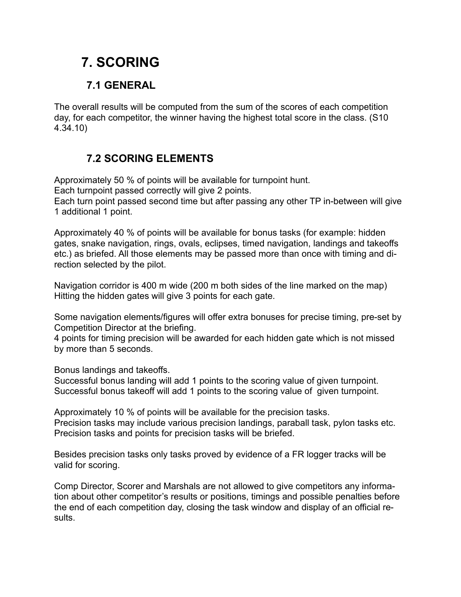# **7. SCORING**

### **7.1 GENERAL**

The overall results will be computed from the sum of the scores of each competition day, for each competitor, the winner having the highest total score in the class. (S10 4.34.10)

### **7.2 SCORING ELEMENTS**

Approximately 50 % of points will be available for turnpoint hunt. Each turnpoint passed correctly will give 2 points. Each turn point passed second time but after passing any other TP in-between will give 1 additional 1 point.

Approximately 40 % of points will be available for bonus tasks (for example: hidden gates, snake navigation, rings, ovals, eclipses, timed navigation, landings and takeoffs etc.) as briefed. All those elements may be passed more than once with timing and direction selected by the pilot.

Navigation corridor is 400 m wide (200 m both sides of the line marked on the map) Hitting the hidden gates will give 3 points for each gate.

Some navigation elements/figures will offer extra bonuses for precise timing, pre-set by Competition Director at the briefing.

4 points for timing precision will be awarded for each hidden gate which is not missed by more than 5 seconds.

Bonus landings and takeoffs.

Successful bonus landing will add 1 points to the scoring value of given turnpoint. Successful bonus takeoff will add 1 points to the scoring value of given turnpoint.

Approximately 10 % of points will be available for the precision tasks. Precision tasks may include various precision landings, paraball task, pylon tasks etc. Precision tasks and points for precision tasks will be briefed.

Besides precision tasks only tasks proved by evidence of a FR logger tracks will be valid for scoring.

Comp Director, Scorer and Marshals are not allowed to give competitors any information about other competitor's results or positions, timings and possible penalties before the end of each competition day, closing the task window and display of an official results.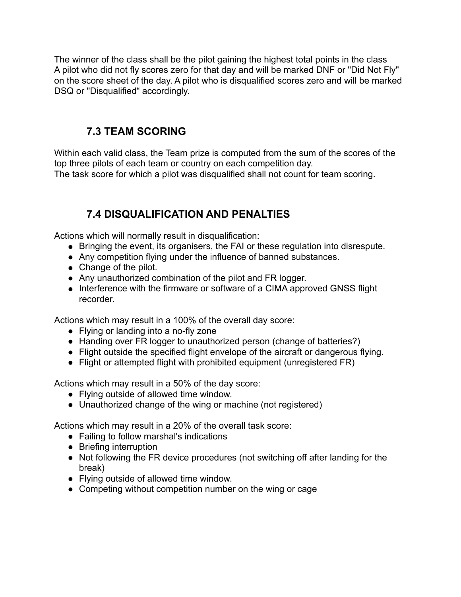The winner of the class shall be the pilot gaining the highest total points in the class A pilot who did not fly scores zero for that day and will be marked DNF or "Did Not Fly" on the score sheet of the day. A pilot who is disqualified scores zero and will be marked DSQ or "Disqualified" accordingly.

#### **7.3 TEAM SCORING**

Within each valid class, the Team prize is computed from the sum of the scores of the top three pilots of each team or country on each competition day. The task score for which a pilot was disqualified shall not count for team scoring.

### **7.4 DISQUALIFICATION AND PENALTIES**

Actions which will normally result in disqualification:

- Bringing the event, its organisers, the FAI or these regulation into disrespute.
- Any competition flying under the influence of banned substances.
- Change of the pilot.
- Any unauthorized combination of the pilot and FR logger.
- Interference with the firmware or software of a CIMA approved GNSS flight recorder.

Actions which may result in a 100% of the overall day score:

- Flying or landing into a no-fly zone
- Handing over FR logger to unauthorized person (change of batteries?)
- Flight outside the specified flight envelope of the aircraft or dangerous flying.
- Flight or attempted flight with prohibited equipment (unregistered FR)

Actions which may result in a 50% of the day score:

- Flying outside of allowed time window.
- Unauthorized change of the wing or machine (not registered)

Actions which may result in a 20% of the overall task score:

- Failing to follow marshal's indications
- Briefing interruption
- Not following the FR device procedures (not switching off after landing for the break)
- Flying outside of allowed time window.
- Competing without competition number on the wing or cage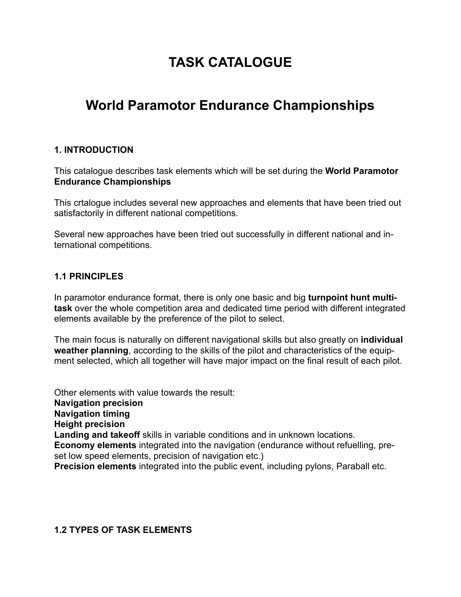# **TASK CATALOGUE**

# **World Paramotor Endurance Championships**

#### **1. INTRODUCTION**

This catalogue describes task elements which will be set during the **World Paramotor Endurance Championships**

This crtalogue includes several new approaches and elements that have been tried out satisfactorily in different national competitions.

Several new approaches have been tried out successfully in different national and international competitions.

#### **1.1 PRINCIPLES**

In paramotor endurance format, there is only one basic and big **turnpoint hunt multitask** over the whole competition area and dedicated time period with different integrated elements available by the preference of the pilot to select.

The main focus is naturally on different navigational skills but also greatly on **individual weather planning**, according to the skills of the pilot and characteristics of the equipment selected, which all together will have major impact on the final result of each pilot.

Other elements with value towards the result: **Navigation precision Navigation timing Height precision Landing and takeoff** skills in variable conditions and in unknown locations. **Economy elements** integrated into the navigation (endurance without refuelling, preset low speed elements, precision of navigation etc.) **Precision elements** integrated into the public event, including pylons, Paraball etc.

#### **1.2 TYPES OF TASK ELEMENTS**